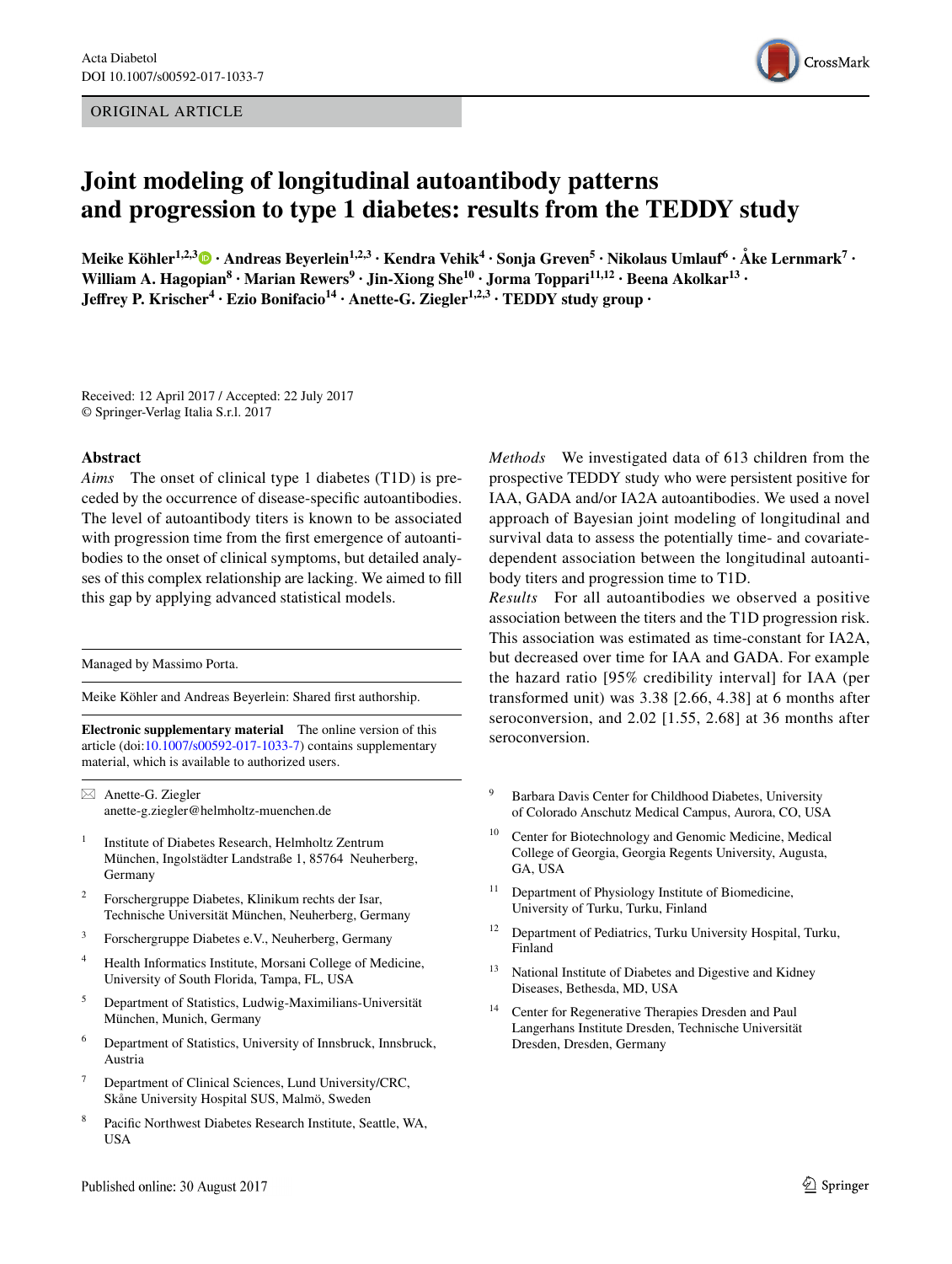## ORIGINAL ARTICLE



# **Joint modeling of longitudinal autoantibody patterns and progression to type 1 diabetes: results from the TEDDY study**

 $\bf{M}$ eike Köhler $\bf{^{1,2,3}}$  $\bf{^{1,2,3}}$  $\bf{^{1,2,3}}$   $\bf{0} \cdot \bf{A}$ ndreas Beyerlein $\bf{^{1,2,3}} \cdot \bf{K}$ endra Vehik $\bf{^{4} \cdot Sonja}$  Greven $\bf{^{5} \cdot Nikola}$ us Umlauf $\bf{^{6} \cdot \AA}$ ke Lernmark $\bf{^{7} \cdot \AA}$ William A. Hagopian<sup>8</sup> · Marian Rewers<sup>9</sup> · Jin-Xiong She<sup>10</sup> · Jorma Toppari<sup>11,12</sup> · Beena Akolkar<sup>13</sup> · Jeffrey P. Krischer<sup>4</sup> · Ezio Bonifacio<sup>14</sup> · Anette-G. Ziegler<sup>1,2,3</sup> · TEDDY study group ·

Received: 12 April 2017 / Accepted: 22 July 2017 © Springer-Verlag Italia S.r.l. 2017

#### **Abstract**

*Aims* The onset of clinical type 1 diabetes (T1D) is preceded by the occurrence of disease-specifc autoantibodies. The level of autoantibody titers is known to be associated with progression time from the frst emergence of autoantibodies to the onset of clinical symptoms, but detailed analyses of this complex relationship are lacking. We aimed to fll this gap by applying advanced statistical models.

Managed by Massimo Porta.

Meike Köhler and Andreas Beyerlein: Shared frst authorship.

**Electronic supplementary material** The online version of this article (doi:[10.1007/s00592-017-1033-7\)](http://dx.doi.org/10.1007/s00592-017-1033-7) contains supplementary material, which is available to authorized users.

 $\boxtimes$  Anette-G. Ziegler anette-g.ziegler@helmholtz-muenchen.de

- <sup>1</sup> Institute of Diabetes Research, Helmholtz Zentrum München, Ingolstädter Landstraße 1, 85764 Neuherberg, Germany
- <sup>2</sup> Forschergruppe Diabetes, Klinikum rechts der Isar, Technische Universität München, Neuherberg, Germany
- <sup>3</sup> Forschergruppe Diabetes e.V., Neuherberg, Germany
- <sup>4</sup> Health Informatics Institute, Morsani College of Medicine, University of South Florida, Tampa, FL, USA
- <sup>5</sup> Department of Statistics, Ludwig-Maximilians-Universität München, Munich, Germany
- <sup>6</sup> Department of Statistics, University of Innsbruck, Innsbruck, Austria
- <sup>7</sup> Department of Clinical Sciences, Lund University/CRC, Skåne University Hospital SUS, Malmö, Sweden
- Pacific Northwest Diabetes Research Institute, Seattle, WA, USA

*Methods* We investigated data of 613 children from the prospective TEDDY study who were persistent positive for IAA, GADA and/or IA2A autoantibodies. We used a novel approach of Bayesian joint modeling of longitudinal and survival data to assess the potentially time- and covariatedependent association between the longitudinal autoantibody titers and progression time to T1D.

*Results* For all autoantibodies we observed a positive association between the titers and the T1D progression risk. This association was estimated as time-constant for IA2A, but decreased over time for IAA and GADA. For example the hazard ratio [95% credibility interval] for IAA (per transformed unit) was 3.38 [2.66, 4.38] at 6 months after seroconversion, and 2.02 [1.55, 2.68] at 36 months after seroconversion.

- <sup>9</sup> Barbara Davis Center for Childhood Diabetes, University of Colorado Anschutz Medical Campus, Aurora, CO, USA
- Center for Biotechnology and Genomic Medicine, Medical College of Georgia, Georgia Regents University, Augusta, GA, USA
- <sup>11</sup> Department of Physiology Institute of Biomedicine, University of Turku, Turku, Finland
- <sup>12</sup> Department of Pediatrics, Turku University Hospital, Turku, Finland
- <sup>13</sup> National Institute of Diabetes and Digestive and Kidney Diseases, Bethesda, MD, USA
- <sup>14</sup> Center for Regenerative Therapies Dresden and Paul Langerhans Institute Dresden, Technische Universität Dresden, Dresden, Germany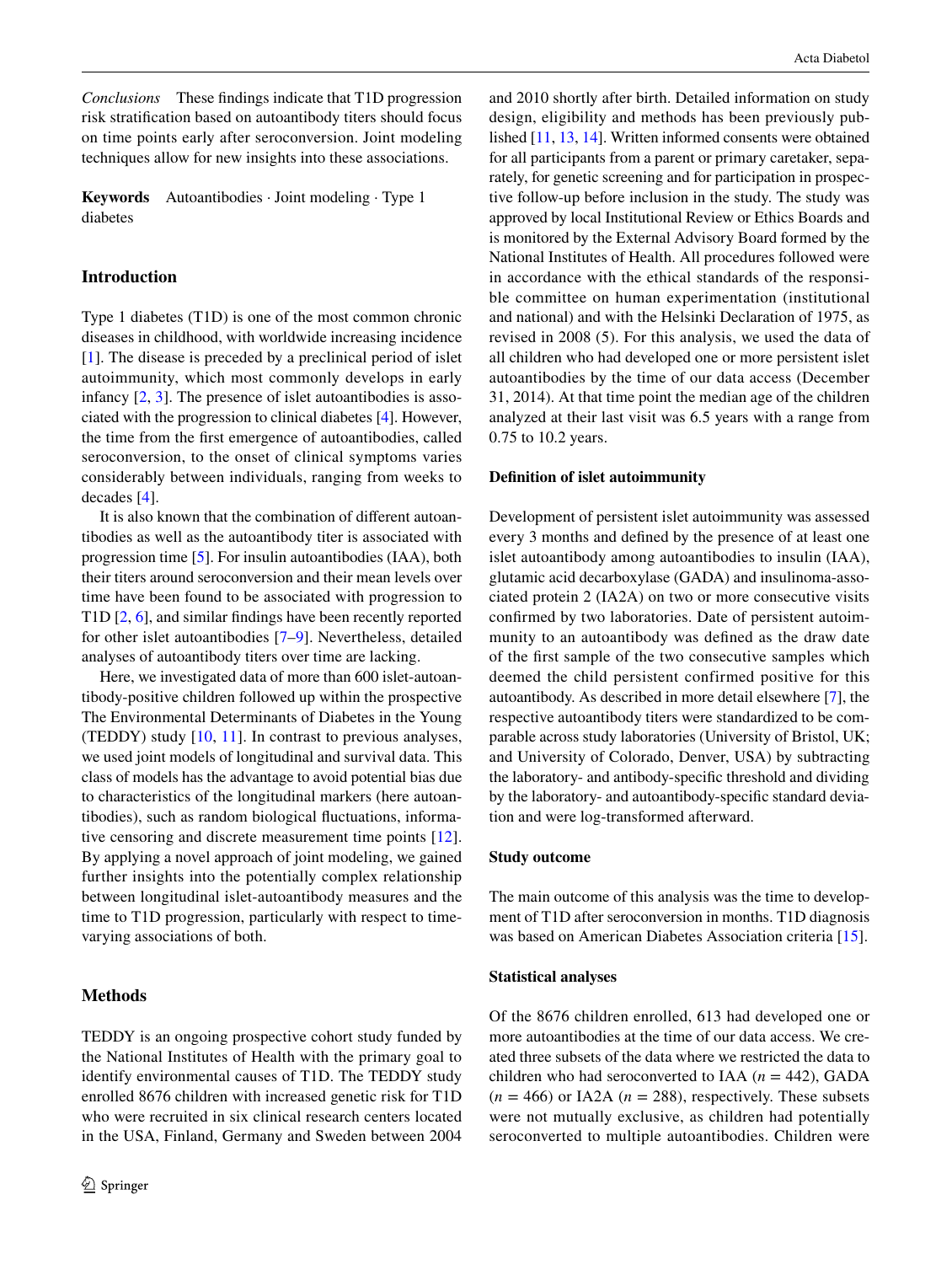*Conclusions* These fndings indicate that T1D progression risk stratifcation based on autoantibody titers should focus on time points early after seroconversion. Joint modeling techniques allow for new insights into these associations.

**Keywords** Autoantibodies · Joint modeling · Type 1 diabetes

## **Introduction**

Type 1 diabetes (T1D) is one of the most common chronic diseases in childhood, with worldwide increasing incidence [\[1](#page-8-0)]. The disease is preceded by a preclinical period of islet autoimmunity, which most commonly develops in early infancy  $[2, 3]$  $[2, 3]$  $[2, 3]$  $[2, 3]$ . The presence of islet autoantibodies is associated with the progression to clinical diabetes [\[4](#page-8-3)]. However, the time from the frst emergence of autoantibodies, called seroconversion, to the onset of clinical symptoms varies considerably between individuals, ranging from weeks to decades [[4\]](#page-8-3).

It is also known that the combination of diferent autoantibodies as well as the autoantibody titer is associated with progression time [\[5](#page-8-4)]. For insulin autoantibodies (IAA), both their titers around seroconversion and their mean levels over time have been found to be associated with progression to T1D [[2](#page-8-1), [6\]](#page-8-5), and similar fndings have been recently reported for other islet autoantibodies [[7–](#page-8-6)[9](#page-8-7)]. Nevertheless, detailed analyses of autoantibody titers over time are lacking.

Here, we investigated data of more than 600 islet-autoantibody-positive children followed up within the prospective The Environmental Determinants of Diabetes in the Young (TEDDY) study  $[10, 11]$  $[10, 11]$  $[10, 11]$  $[10, 11]$ . In contrast to previous analyses, we used joint models of longitudinal and survival data. This class of models has the advantage to avoid potential bias due to characteristics of the longitudinal markers (here autoantibodies), such as random biological fuctuations, informative censoring and discrete measurement time points [\[12](#page-8-10)]. By applying a novel approach of joint modeling, we gained further insights into the potentially complex relationship between longitudinal islet-autoantibody measures and the time to T1D progression, particularly with respect to timevarying associations of both.

# **Methods**

TEDDY is an ongoing prospective cohort study funded by the National Institutes of Health with the primary goal to identify environmental causes of T1D. The TEDDY study enrolled 8676 children with increased genetic risk for T1D who were recruited in six clinical research centers located in the USA, Finland, Germany and Sweden between 2004 and 2010 shortly after birth. Detailed information on study design, eligibility and methods has been previously published [\[11](#page-8-9), [13,](#page-8-11) [14](#page-8-12)]. Written informed consents were obtained for all participants from a parent or primary caretaker, separately, for genetic screening and for participation in prospective follow-up before inclusion in the study. The study was approved by local Institutional Review or Ethics Boards and is monitored by the External Advisory Board formed by the National Institutes of Health. All procedures followed were in accordance with the ethical standards of the responsible committee on human experimentation (institutional and national) and with the Helsinki Declaration of 1975, as revised in 2008 (5). For this analysis, we used the data of all children who had developed one or more persistent islet autoantibodies by the time of our data access (December 31, 2014). At that time point the median age of the children analyzed at their last visit was 6.5 years with a range from 0.75 to 10.2 years.

#### **Defnition of islet autoimmunity**

Development of persistent islet autoimmunity was assessed every 3 months and defned by the presence of at least one islet autoantibody among autoantibodies to insulin (IAA), glutamic acid decarboxylase (GADA) and insulinoma-associated protein 2 (IA2A) on two or more consecutive visits confrmed by two laboratories. Date of persistent autoimmunity to an autoantibody was defned as the draw date of the frst sample of the two consecutive samples which deemed the child persistent confirmed positive for this autoantibody. As described in more detail elsewhere [[7\]](#page-8-6), the respective autoantibody titers were standardized to be comparable across study laboratories (University of Bristol, UK; and University of Colorado, Denver, USA) by subtracting the laboratory- and antibody-specifc threshold and dividing by the laboratory- and autoantibody-specifc standard deviation and were log-transformed afterward.

#### **Study outcome**

The main outcome of this analysis was the time to development of T1D after seroconversion in months. T1D diagnosis was based on American Diabetes Association criteria [\[15](#page-8-13)].

### **Statistical analyses**

Of the 8676 children enrolled, 613 had developed one or more autoantibodies at the time of our data access. We created three subsets of the data where we restricted the data to children who had seroconverted to IAA  $(n = 442)$ , GADA  $(n = 466)$  or IA2A  $(n = 288)$ , respectively. These subsets were not mutually exclusive, as children had potentially seroconverted to multiple autoantibodies. Children were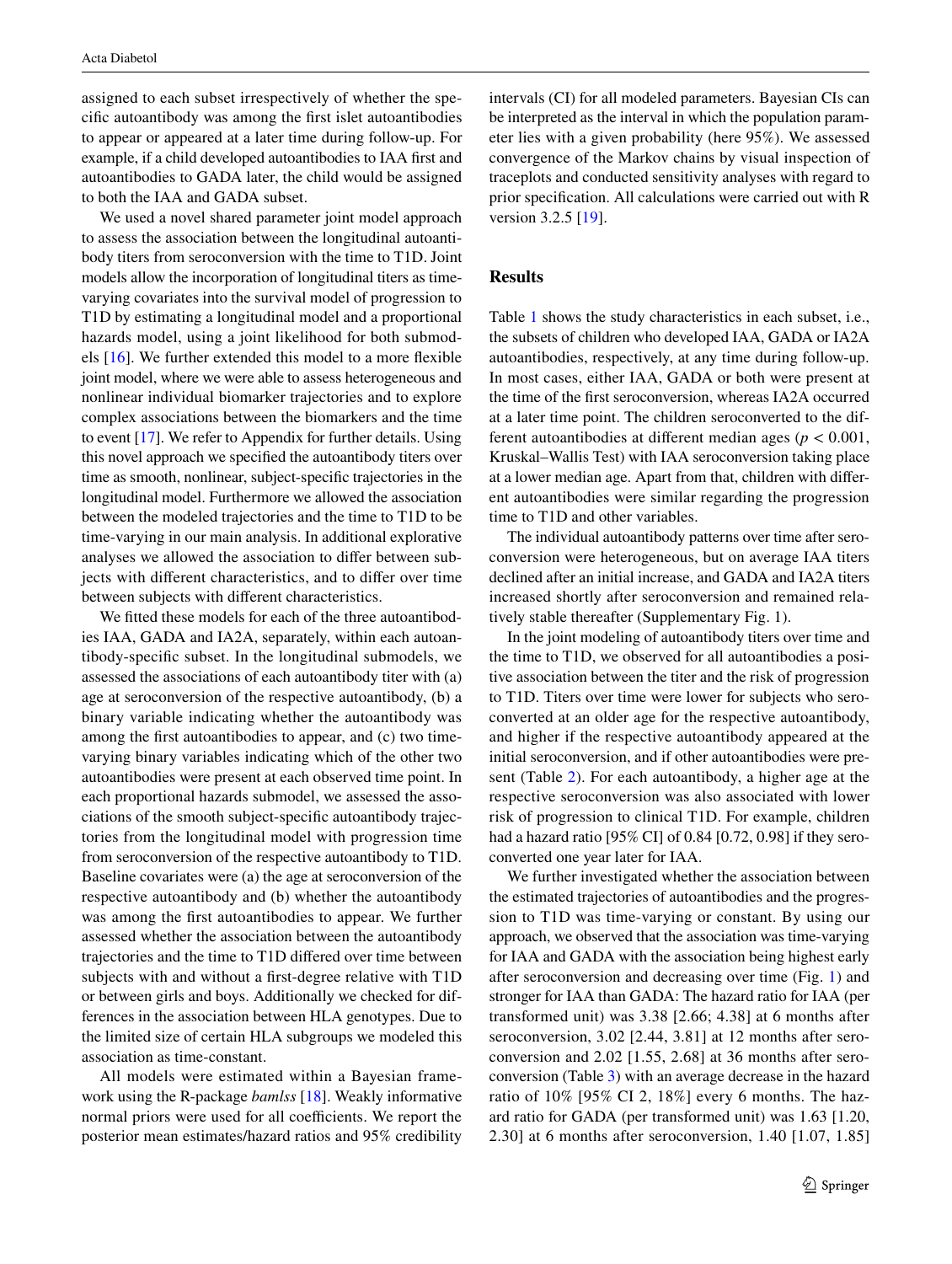assigned to each subset irrespectively of whether the specifc autoantibody was among the frst islet autoantibodies to appear or appeared at a later time during follow-up. For example, if a child developed autoantibodies to IAA frst and autoantibodies to GADA later, the child would be assigned to both the IAA and GADA subset.

We used a novel shared parameter joint model approach to assess the association between the longitudinal autoantibody titers from seroconversion with the time to T1D. Joint models allow the incorporation of longitudinal titers as timevarying covariates into the survival model of progression to T1D by estimating a longitudinal model and a proportional hazards model, using a joint likelihood for both submodels [\[16](#page-8-14)]. We further extended this model to a more fexible joint model, where we were able to assess heterogeneous and nonlinear individual biomarker trajectories and to explore complex associations between the biomarkers and the time to event [\[17](#page-8-15)]. We refer to Appendix for further details. Using this novel approach we specifed the autoantibody titers over time as smooth, nonlinear, subject-specifc trajectories in the longitudinal model. Furthermore we allowed the association between the modeled trajectories and the time to T1D to be time-varying in our main analysis. In additional explorative analyses we allowed the association to difer between subjects with diferent characteristics, and to difer over time between subjects with diferent characteristics.

We fitted these models for each of the three autoantibodies IAA, GADA and IA2A, separately, within each autoantibody-specifc subset. In the longitudinal submodels, we assessed the associations of each autoantibody titer with (a) age at seroconversion of the respective autoantibody, (b) a binary variable indicating whether the autoantibody was among the frst autoantibodies to appear, and (c) two timevarying binary variables indicating which of the other two autoantibodies were present at each observed time point. In each proportional hazards submodel, we assessed the associations of the smooth subject-specifc autoantibody trajectories from the longitudinal model with progression time from seroconversion of the respective autoantibody to T1D. Baseline covariates were (a) the age at seroconversion of the respective autoantibody and (b) whether the autoantibody was among the frst autoantibodies to appear. We further assessed whether the association between the autoantibody trajectories and the time to T1D difered over time between subjects with and without a frst-degree relative with T1D or between girls and boys. Additionally we checked for differences in the association between HLA genotypes. Due to the limited size of certain HLA subgroups we modeled this association as time-constant.

All models were estimated within a Bayesian framework using the R-package *bamlss* [\[18](#page-8-16)]. Weakly informative normal priors were used for all coefficients. We report the posterior mean estimates/hazard ratios and 95% credibility intervals (CI) for all modeled parameters. Bayesian CIs can be interpreted as the interval in which the population parameter lies with a given probability (here 95%). We assessed convergence of the Markov chains by visual inspection of traceplots and conducted sensitivity analyses with regard to prior specifcation. All calculations were carried out with R version 3.2.5 [\[19](#page-8-17)].

## **Results**

Table [1](#page-3-0) shows the study characteristics in each subset, i.e., the subsets of children who developed IAA, GADA or IA2A autoantibodies, respectively, at any time during follow-up. In most cases, either IAA, GADA or both were present at the time of the frst seroconversion, whereas IA2A occurred at a later time point. The children seroconverted to the different autoantibodies at diferent median ages (*p* < 0.001, Kruskal–Wallis Test) with IAA seroconversion taking place at a lower median age. Apart from that, children with diferent autoantibodies were similar regarding the progression time to T1D and other variables.

The individual autoantibody patterns over time after seroconversion were heterogeneous, but on average IAA titers declined after an initial increase, and GADA and IA2A titers increased shortly after seroconversion and remained relatively stable thereafter (Supplementary Fig. 1).

In the joint modeling of autoantibody titers over time and the time to T1D, we observed for all autoantibodies a positive association between the titer and the risk of progression to T1D. Titers over time were lower for subjects who seroconverted at an older age for the respective autoantibody, and higher if the respective autoantibody appeared at the initial seroconversion, and if other autoantibodies were present (Table [2](#page-3-1)). For each autoantibody, a higher age at the respective seroconversion was also associated with lower risk of progression to clinical T1D. For example, children had a hazard ratio [95% CI] of 0.84 [0.72, 0.98] if they seroconverted one year later for IAA.

We further investigated whether the association between the estimated trajectories of autoantibodies and the progression to T1D was time-varying or constant. By using our approach, we observed that the association was time-varying for IAA and GADA with the association being highest early after seroconversion and decreasing over time (Fig. [1](#page-4-0)) and stronger for IAA than GADA: The hazard ratio for IAA (per transformed unit) was 3.38 [2.66; 4.38] at 6 months after seroconversion, 3.02 [2.44, 3.81] at 12 months after seroconversion and 2.02 [1.55, 2.68] at 36 months after seroconversion (Table [3](#page-4-1)) with an average decrease in the hazard ratio of 10% [95% CI 2, 18%] every 6 months. The hazard ratio for GADA (per transformed unit) was 1.63 [1.20, 2.30] at 6 months after seroconversion, 1.40 [1.07, 1.85]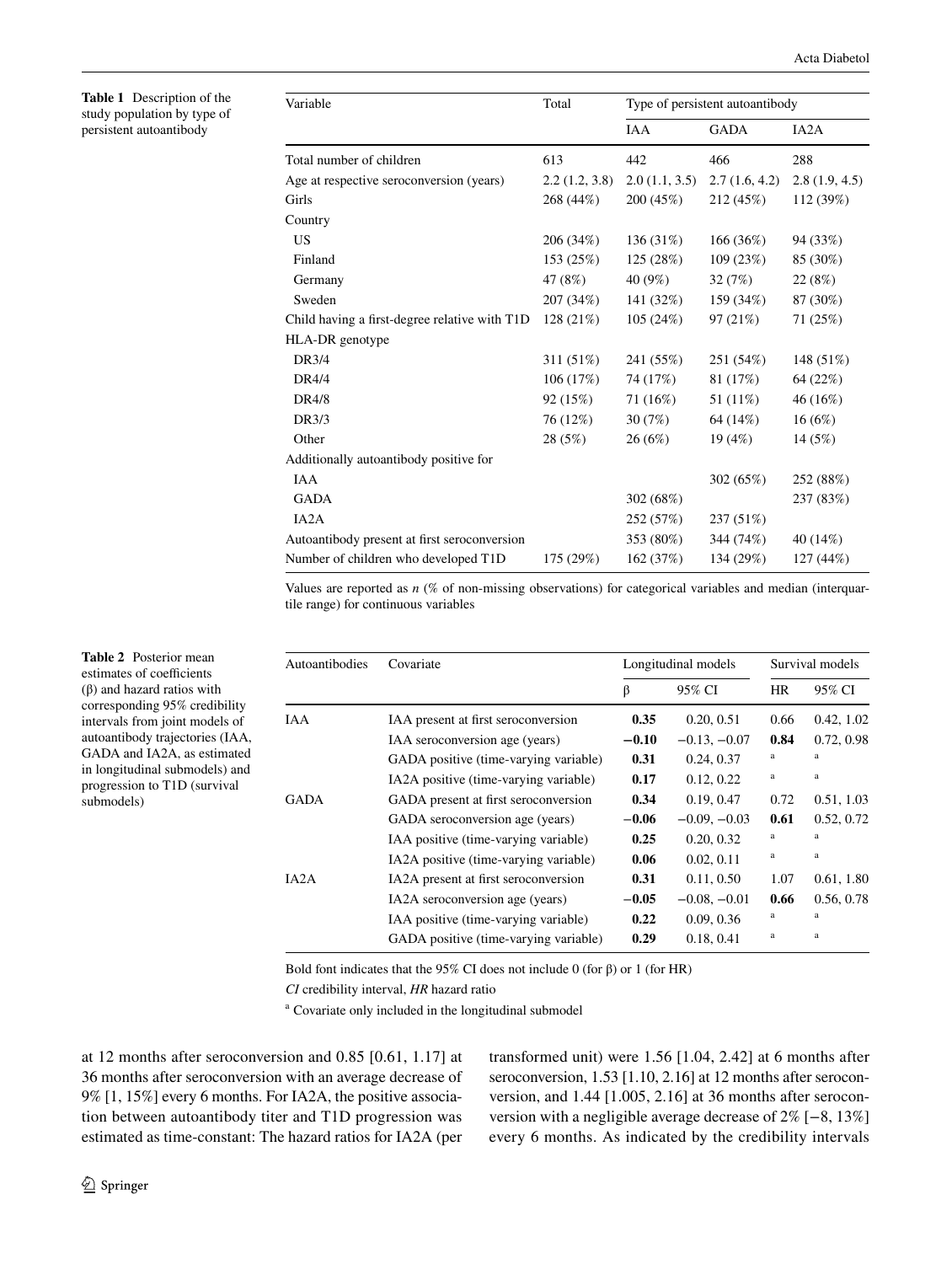<span id="page-3-0"></span>**Table 1** Description of the study population by type of persistent autoantibody

<span id="page-3-1"></span>**Table 2** Posterior mean estimates of coefficients (β) and hazard ratios with corresponding 95% credibility intervals from joint models of autoantibody trajectories (IAA, GADA and IA2A, as estimated in longitudinal submodels) and progression to T1D (survival

submodels)

| Variable                                      | Total         | Type of persistent autoantibody |               |                   |  |
|-----------------------------------------------|---------------|---------------------------------|---------------|-------------------|--|
|                                               |               | <b>IAA</b>                      | <b>GADA</b>   | IA <sub>2</sub> A |  |
| Total number of children                      | 613           | 442                             | 466           | 288               |  |
| Age at respective seroconversion (years)      | 2.2(1.2, 3.8) | 2.0(1.1, 3.5)                   | 2.7(1.6, 4.2) | 2.8(1.9, 4.5)     |  |
| Girls                                         | 268 (44%)     | 200 (45%)                       | 212 (45%)     | 112 (39%)         |  |
| Country                                       |               |                                 |               |                   |  |
| <b>US</b>                                     | 206 (34%)     | 136 (31%)                       | 166 (36%)     | 94 (33%)          |  |
| Finland                                       | 153 (25%)     | 125 (28%)                       | 109 (23%)     | 85 (30%)          |  |
| Germany                                       | 47 (8%)       | 40 (9%)                         | 32(7%)        | 22 (8%)           |  |
| Sweden                                        | 207 (34%)     | 141 (32%)                       | 159 (34%)     | 87 (30%)          |  |
| Child having a first-degree relative with T1D | 128(21%)      | 105(24%)                        | 97 (21%)      | 71 (25%)          |  |
| HLA-DR genotype                               |               |                                 |               |                   |  |
| DR3/4                                         | 311 (51%)     | 241 (55%)                       | 251 (54%)     | 148 (51%)         |  |
| DR4/4                                         | 106(17%)      | 74 (17%)                        | 81 (17%)      | 64 (22%)          |  |
| DR4/8                                         | 92 (15%)      | 71 (16%)                        | 51 (11%)      | 46 (16%)          |  |
| DR3/3                                         | 76 (12%)      | 30(7%)                          | 64 (14%)      | 16(6%)            |  |
| Other                                         | 28 (5%)       | 26(6%)                          | 19(4%)        | 14(5%)            |  |
| Additionally autoantibody positive for        |               |                                 |               |                   |  |
| <b>IAA</b>                                    |               |                                 | 302 (65%)     | 252 (88%)         |  |
| <b>GADA</b>                                   |               | 302 (68%)                       |               | 237 (83%)         |  |
| IA <sub>2</sub> A                             |               | 252 (57%)                       | 237 (51%)     |                   |  |
| Autoantibody present at first seroconversion  |               | 353 (80%)                       | 344 (74%)     | 40 (14%)          |  |
| Number of children who developed T1D          | 175 (29%)     | 162 (37%)                       | 134 (29%)     | 127(44%)          |  |

Values are reported as *n* (% of non-missing observations) for categorical variables and median (interquartile range) for continuous variables

| Autoantibodies | Covariate                             | Longitudinal models |                | Survival models |            |
|----------------|---------------------------------------|---------------------|----------------|-----------------|------------|
|                |                                       | β                   | 95% CI         | <b>HR</b>       | 95% CI     |
| <b>IAA</b>     | IAA present at first seroconversion   | 0.35                | 0.20, 0.51     | 0.66            | 0.42, 1.02 |
|                | IAA seroconversion age (years)        | $-0.10$             | $-0.13, -0.07$ | 0.84            | 0.72, 0.98 |
|                | GADA positive (time-varying variable) | 0.31                | 0.24, 0.37     | a               | a          |
|                | IA2A positive (time-varying variable) | 0.17                | 0.12, 0.22     | a               | a          |
| <b>GADA</b>    | GADA present at first seroconversion  | 0.34                | 0.19, 0.47     | 0.72            | 0.51, 1.03 |
|                | GADA seroconversion age (years)       | $-0.06$             | $-0.09, -0.03$ | 0.61            | 0.52, 0.72 |
|                | IAA positive (time-varying variable)  | 0.25                | 0.20, 0.32     | a               | a          |
|                | IA2A positive (time-varying variable) | 0.06                | 0.02, 0.11     | a               | a          |
| IA2A           | IA2A present at first seroconversion  | 0.31                | 0.11, 0.50     | 1.07            | 0.61, 1.80 |
|                | IA2A seroconversion age (years)       | $-0.05$             | $-0.08, -0.01$ | 0.66            | 0.56, 0.78 |
|                | IAA positive (time-varying variable)  | 0.22                | 0.09, 0.36     | a               | a          |
|                | GADA positive (time-varying variable) | 0.29                | 0.18, 0.41     | a               | a          |

Bold font indicates that the 95% CI does not include 0 (for  $\beta$ ) or 1 (for HR)

*CI* credibility interval, *HR* hazard ratio

a Covariate only included in the longitudinal submodel

at 12 months after seroconversion and 0.85 [0.61, 1.17] at 36 months after seroconversion with an average decrease of 9% [1, 15%] every 6 months. For IA2A, the positive association between autoantibody titer and T1D progression was estimated as time-constant: The hazard ratios for IA2A (per transformed unit) were 1.56 [1.04, 2.42] at 6 months after seroconversion, 1.53 [1.10, 2.16] at 12 months after seroconversion, and 1.44 [1.005, 2.16] at 36 months after seroconversion with a negligible average decrease of 2% [−8, 13%] every 6 months. As indicated by the credibility intervals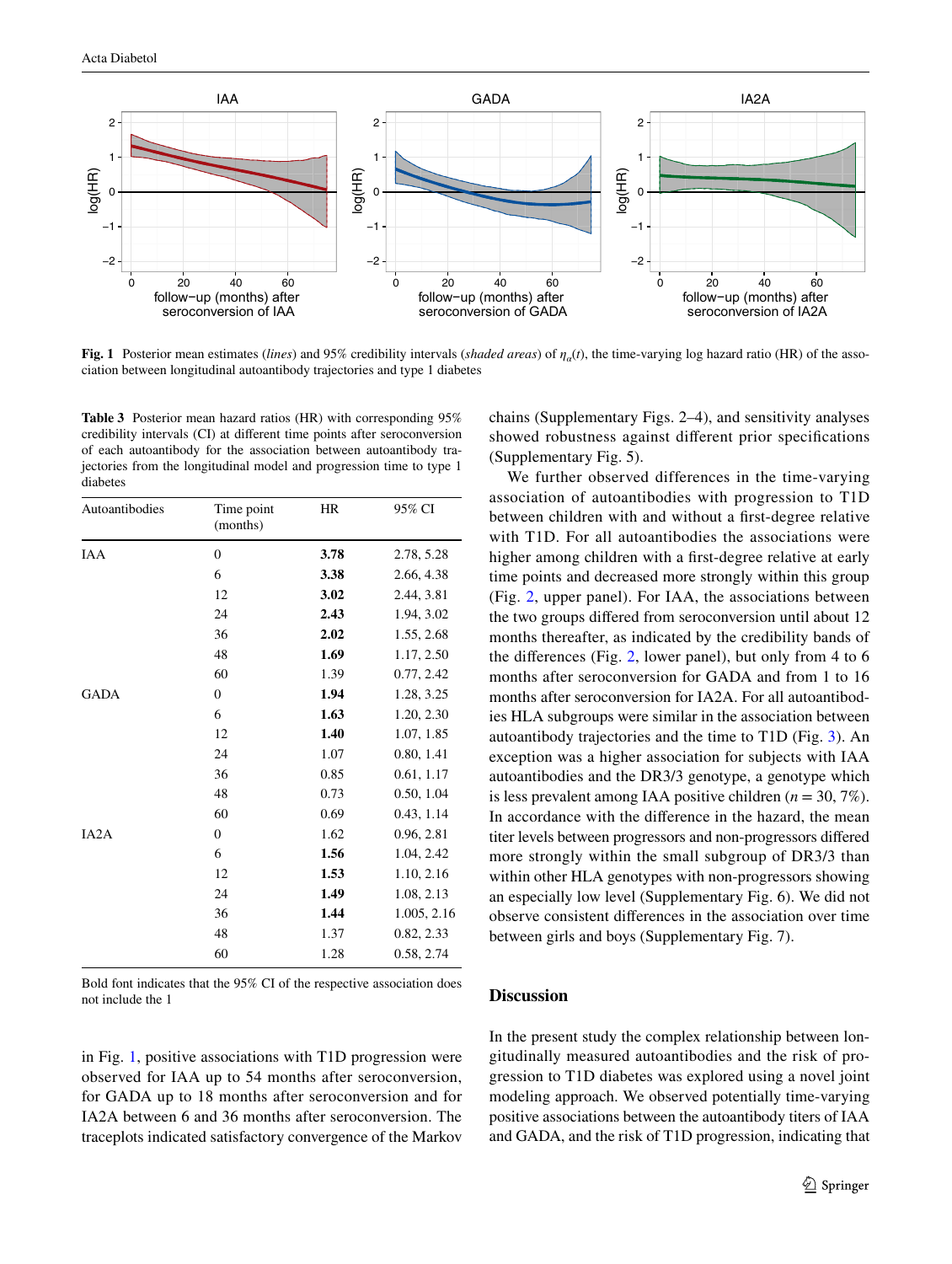

<span id="page-4-0"></span>**Fig. 1** Posterior mean estimates (*lines*) and 95% credibility intervals (*shaded areas*) of  $\eta_a(t)$ , the time-varying log hazard ratio (HR) of the association between longitudinal autoantibody trajectories and type 1 diabetes

<span id="page-4-1"></span>**Table 3** Posterior mean hazard ratios (HR) with corresponding 95% credibility intervals (CI) at diferent time points after seroconversion of each autoantibody for the association between autoantibody trajectories from the longitudinal model and progression time to type 1 diabetes

| Autoantibodies | Time point<br>(months) | HR   | 95% CI      |
|----------------|------------------------|------|-------------|
| <b>IAA</b>     | $\mathbf{0}$           | 3.78 | 2.78, 5.28  |
|                | 6                      | 3.38 | 2.66, 4.38  |
|                | 12                     | 3.02 | 2.44, 3.81  |
|                | 24                     | 2.43 | 1.94, 3.02  |
|                | 36                     | 2.02 | 1.55, 2.68  |
|                | 48                     | 1.69 | 1.17, 2.50  |
|                | 60                     | 1.39 | 0.77, 2.42  |
| <b>GADA</b>    | $\Omega$               | 1.94 | 1.28, 3.25  |
|                | 6                      | 1.63 | 1.20, 2.30  |
|                | 12                     | 1.40 | 1.07, 1.85  |
|                | 24                     | 1.07 | 0.80, 1.41  |
|                | 36                     | 0.85 | 0.61, 1.17  |
|                | 48                     | 0.73 | 0.50, 1.04  |
|                | 60                     | 0.69 | 0.43, 1.14  |
| IA2A           | $\mathbf{0}$           | 1.62 | 0.96, 2.81  |
|                | 6                      | 1.56 | 1.04, 2.42  |
|                | 12                     | 1.53 | 1.10, 2.16  |
|                | 24                     | 1.49 | 1.08, 2.13  |
|                | 36                     | 1.44 | 1.005, 2.16 |
|                | 48                     | 1.37 | 0.82, 2.33  |
|                | 60                     | 1.28 | 0.58, 2.74  |

Bold font indicates that the 95% CI of the respective association does not include the 1

in Fig. [1,](#page-4-0) positive associations with T1D progression were observed for IAA up to 54 months after seroconversion, for GADA up to 18 months after seroconversion and for IA2A between 6 and 36 months after seroconversion. The traceplots indicated satisfactory convergence of the Markov chains (Supplementary Figs. 2–4), and sensitivity analyses showed robustness against diferent prior specifcations (Supplementary Fig. 5).

We further observed differences in the time-varying association of autoantibodies with progression to T1D between children with and without a frst-degree relative with T1D. For all autoantibodies the associations were higher among children with a frst-degree relative at early time points and decreased more strongly within this group (Fig. [2](#page-5-0), upper panel). For IAA, the associations between the two groups difered from seroconversion until about 12 months thereafter, as indicated by the credibility bands of the diferences (Fig. [2,](#page-5-0) lower panel), but only from 4 to 6 months after seroconversion for GADA and from 1 to 16 months after seroconversion for IA2A. For all autoantibodies HLA subgroups were similar in the association between autoantibody trajectories and the time to T1D (Fig. [3](#page-5-1)). An exception was a higher association for subjects with IAA autoantibodies and the DR3/3 genotype, a genotype which is less prevalent among IAA positive children (*n* = 30, 7%). In accordance with the diference in the hazard, the mean titer levels between progressors and non-progressors difered more strongly within the small subgroup of DR3/3 than within other HLA genotypes with non-progressors showing an especially low level (Supplementary Fig. 6). We did not observe consistent diferences in the association over time between girls and boys (Supplementary Fig. 7).

## **Discussion**

In the present study the complex relationship between longitudinally measured autoantibodies and the risk of progression to T1D diabetes was explored using a novel joint modeling approach. We observed potentially time-varying positive associations between the autoantibody titers of IAA and GADA, and the risk of T1D progression, indicating that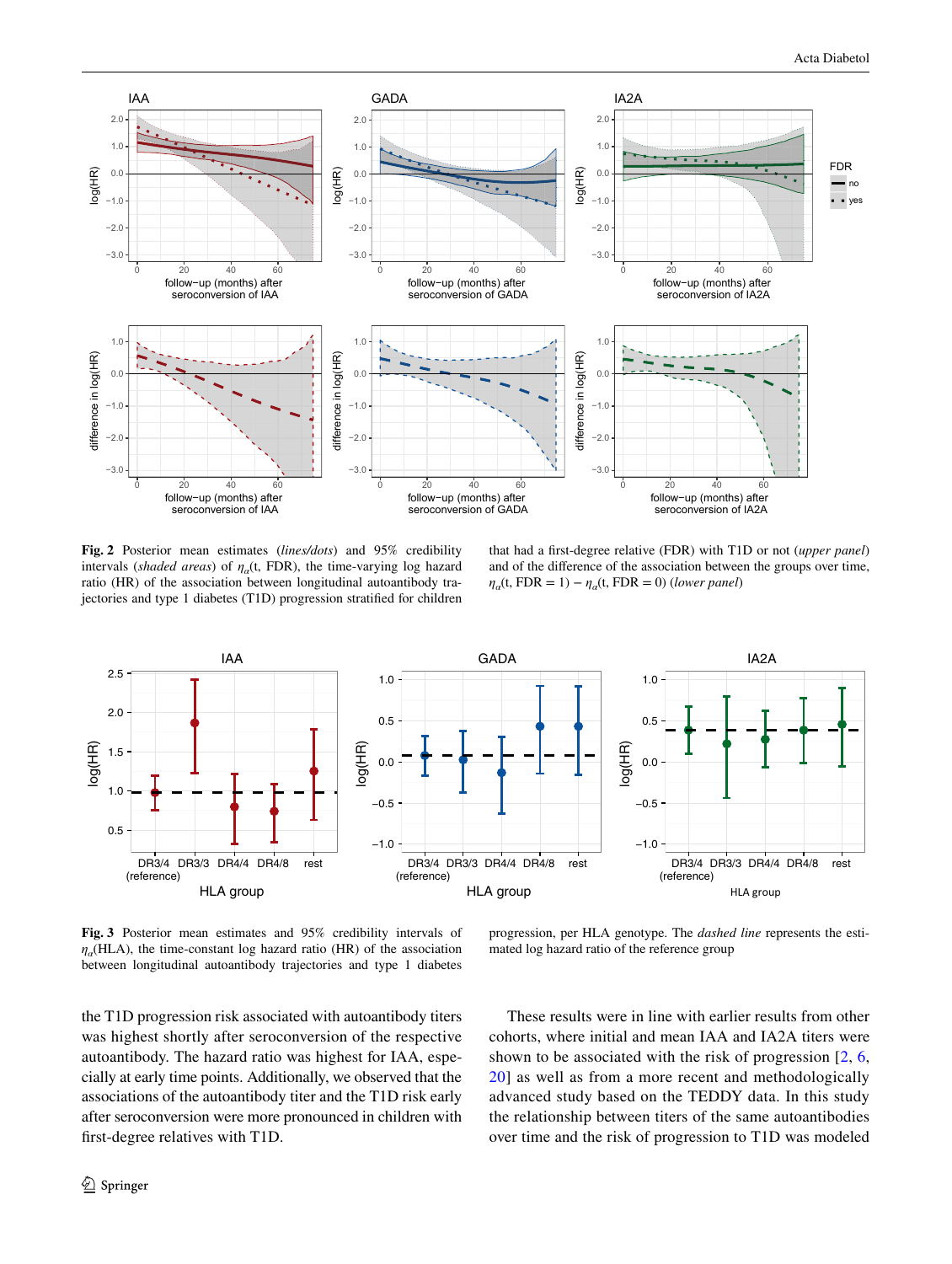

<span id="page-5-0"></span>**Fig. 2** Posterior mean estimates (*lines/dots*) and 95% credibility intervals (*shaded areas*) of  $\eta_a(t, FDR)$ , the time-varying log hazard ratio (HR) of the association between longitudinal autoantibody trajectories and type 1 diabetes (T1D) progression stratifed for children

that had a frst-degree relative (FDR) with T1D or not (*upper panel*) and of the diference of the association between the groups over time,  $\eta_a(t, FDR = 1) - \eta_a(t, FDR = 0)$  (*lower panel*)



<span id="page-5-1"></span>**Fig. 3** Posterior mean estimates and 95% credibility intervals of  $\eta_a$ (HLA), the time-constant log hazard ratio (HR) of the association between longitudinal autoantibody trajectories and type 1 diabetes

progression, per HLA genotype. The *dashed line* represents the estimated log hazard ratio of the reference group

the T1D progression risk associated with autoantibody titers was highest shortly after seroconversion of the respective autoantibody. The hazard ratio was highest for IAA, especially at early time points. Additionally, we observed that the associations of the autoantibody titer and the T1D risk early after seroconversion were more pronounced in children with frst-degree relatives with T1D.

These results were in line with earlier results from other cohorts, where initial and mean IAA and IA2A titers were shown to be associated with the risk of progression [[2](#page-8-1), [6,](#page-8-5) [20\]](#page-8-18) as well as from a more recent and methodologically advanced study based on the TEDDY data. In this study the relationship between titers of the same autoantibodies over time and the risk of progression to T1D was modeled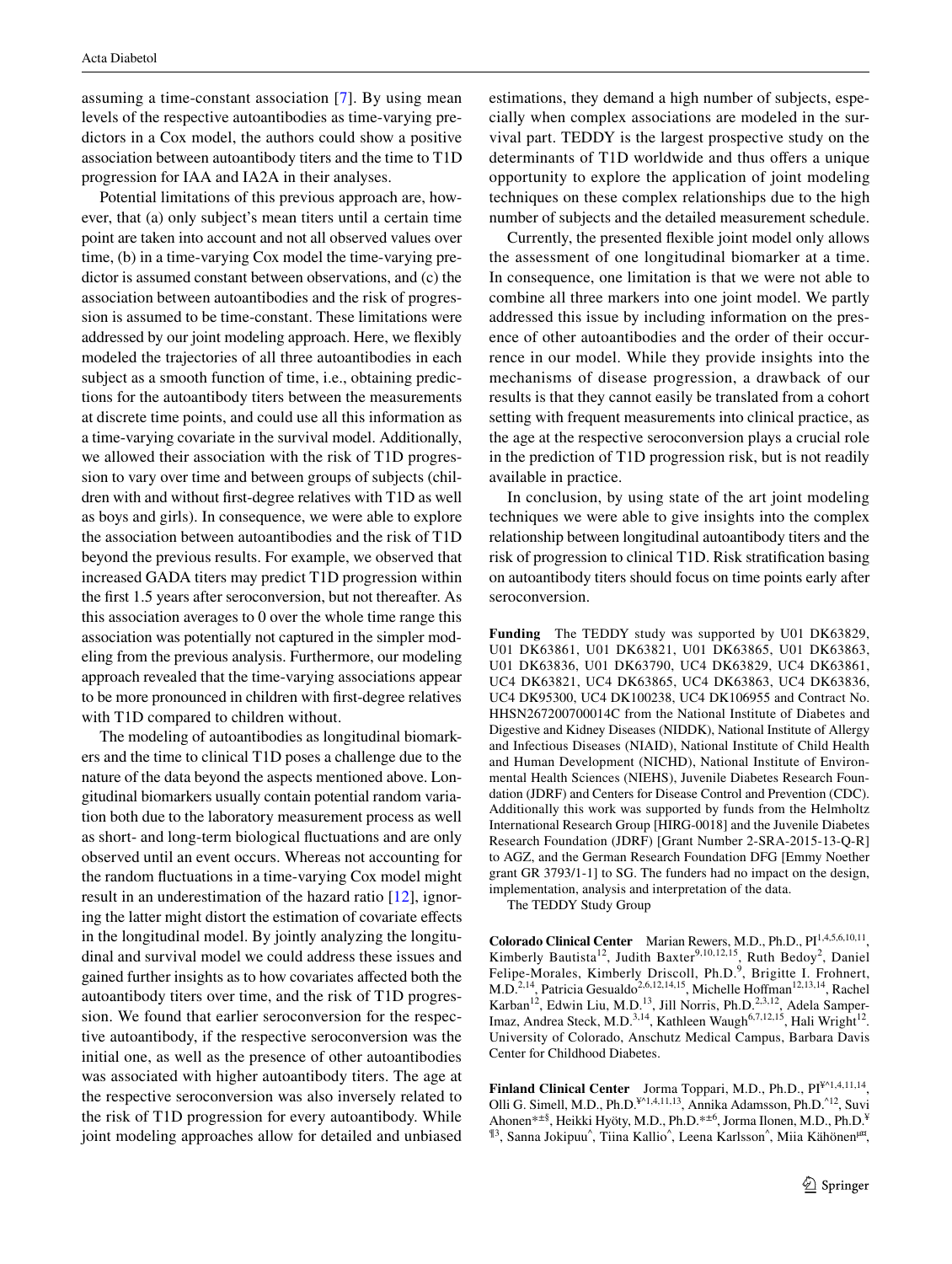assuming a time-constant association [\[7\]](#page-8-6). By using mean levels of the respective autoantibodies as time-varying predictors in a Cox model, the authors could show a positive association between autoantibody titers and the time to T1D progression for IAA and IA2A in their analyses.

Potential limitations of this previous approach are, however, that (a) only subject's mean titers until a certain time point are taken into account and not all observed values over time, (b) in a time-varying Cox model the time-varying predictor is assumed constant between observations, and (c) the association between autoantibodies and the risk of progression is assumed to be time-constant. These limitations were addressed by our joint modeling approach. Here, we fexibly modeled the trajectories of all three autoantibodies in each subject as a smooth function of time, i.e., obtaining predictions for the autoantibody titers between the measurements at discrete time points, and could use all this information as a time-varying covariate in the survival model. Additionally, we allowed their association with the risk of T1D progression to vary over time and between groups of subjects (children with and without frst-degree relatives with T1D as well as boys and girls). In consequence, we were able to explore the association between autoantibodies and the risk of T1D beyond the previous results. For example, we observed that increased GADA titers may predict T1D progression within the frst 1.5 years after seroconversion, but not thereafter. As this association averages to 0 over the whole time range this association was potentially not captured in the simpler modeling from the previous analysis. Furthermore, our modeling approach revealed that the time-varying associations appear to be more pronounced in children with frst-degree relatives with T1D compared to children without.

The modeling of autoantibodies as longitudinal biomarkers and the time to clinical T1D poses a challenge due to the nature of the data beyond the aspects mentioned above. Longitudinal biomarkers usually contain potential random variation both due to the laboratory measurement process as well as short- and long-term biological fuctuations and are only observed until an event occurs. Whereas not accounting for the random fuctuations in a time-varying Cox model might result in an underestimation of the hazard ratio [\[12](#page-8-10)], ignoring the latter might distort the estimation of covariate efects in the longitudinal model. By jointly analyzing the longitudinal and survival model we could address these issues and gained further insights as to how covariates afected both the autoantibody titers over time, and the risk of T1D progression. We found that earlier seroconversion for the respective autoantibody, if the respective seroconversion was the initial one, as well as the presence of other autoantibodies was associated with higher autoantibody titers. The age at the respective seroconversion was also inversely related to the risk of T1D progression for every autoantibody. While joint modeling approaches allow for detailed and unbiased estimations, they demand a high number of subjects, especially when complex associations are modeled in the survival part. TEDDY is the largest prospective study on the determinants of T1D worldwide and thus offers a unique opportunity to explore the application of joint modeling techniques on these complex relationships due to the high number of subjects and the detailed measurement schedule.

Currently, the presented fexible joint model only allows the assessment of one longitudinal biomarker at a time. In consequence, one limitation is that we were not able to combine all three markers into one joint model. We partly addressed this issue by including information on the presence of other autoantibodies and the order of their occurrence in our model. While they provide insights into the mechanisms of disease progression, a drawback of our results is that they cannot easily be translated from a cohort setting with frequent measurements into clinical practice, as the age at the respective seroconversion plays a crucial role in the prediction of T1D progression risk, but is not readily available in practice.

In conclusion, by using state of the art joint modeling techniques we were able to give insights into the complex relationship between longitudinal autoantibody titers and the risk of progression to clinical T1D. Risk stratifcation basing on autoantibody titers should focus on time points early after seroconversion.

**Funding** The TEDDY study was supported by U01 DK63829, U01 DK63861, U01 DK63821, U01 DK63865, U01 DK63863, U01 DK63836, U01 DK63790, UC4 DK63829, UC4 DK63861, UC4 DK63821, UC4 DK63865, UC4 DK63863, UC4 DK63836, UC4 DK95300, UC4 DK100238, UC4 DK106955 and Contract No. HHSN267200700014C from the National Institute of Diabetes and Digestive and Kidney Diseases (NIDDK), National Institute of Allergy and Infectious Diseases (NIAID), National Institute of Child Health and Human Development (NICHD), National Institute of Environmental Health Sciences (NIEHS), Juvenile Diabetes Research Foundation (JDRF) and Centers for Disease Control and Prevention (CDC). Additionally this work was supported by funds from the Helmholtz International Research Group [HIRG-0018] and the Juvenile Diabetes Research Foundation (JDRF) [Grant Number 2-SRA-2015-13-Q-R] to AGZ, and the German Research Foundation DFG [Emmy Noether grant GR 3793/1-1] to SG. The funders had no impact on the design, implementation, analysis and interpretation of the data.

The TEDDY Study Group

**Colorado Clinical Center** Marian Rewers, M.D., Ph.D., PI<sup>1,4,5,6,10,11</sup>, Kimberly Bautista<sup>12</sup>, Judith Baxter<sup>9,10,12,15</sup>, Ruth Bedoy<sup>2</sup>, Daniel Felipe-Morales, Kimberly Driscoll, Ph.D.<sup>9</sup>, Brigitte I. Frohnert, M.D.<sup>2,14</sup>, Patricia Gesualdo<sup>2,6,12,14,15</sup>, Michelle Hoffman<sup>12,13,14</sup>, Rachel Karban<sup>12</sup>, Edwin Liu, M.D.<sup>13</sup>, Jill Norris, Ph.D.<sup>2,3,12</sup>, Adela Samper-Imaz, Andrea Steck, M.D.<sup>3,14</sup>, Kathleen Waugh<sup>6,7,12,15</sup>, Hali Wright<sup>12</sup>. University of Colorado, Anschutz Medical Campus, Barbara Davis Center for Childhood Diabetes.

Finland Clinical Center Jorma Toppari, M.D., Ph.D., PI<sup>¥^1,4,11,14</sup>, Olli G. Simell, M.D., Ph.D.¥^1,4,11,13, Annika Adamsson, Ph.D.^12, Suvi Ahonen\*±§, Heikki Hyöty, M.D., Ph.D.\*±6, Jorma Ilonen, M.D., Ph.D.¥ <sup>¶3</sup>, Sanna Jokipuu<sup>^</sup>, Tiina Kallio<sup>^</sup>, Leena Karlsson<sup>^</sup>, Miia Kähönen<sup>µ¤</sup>,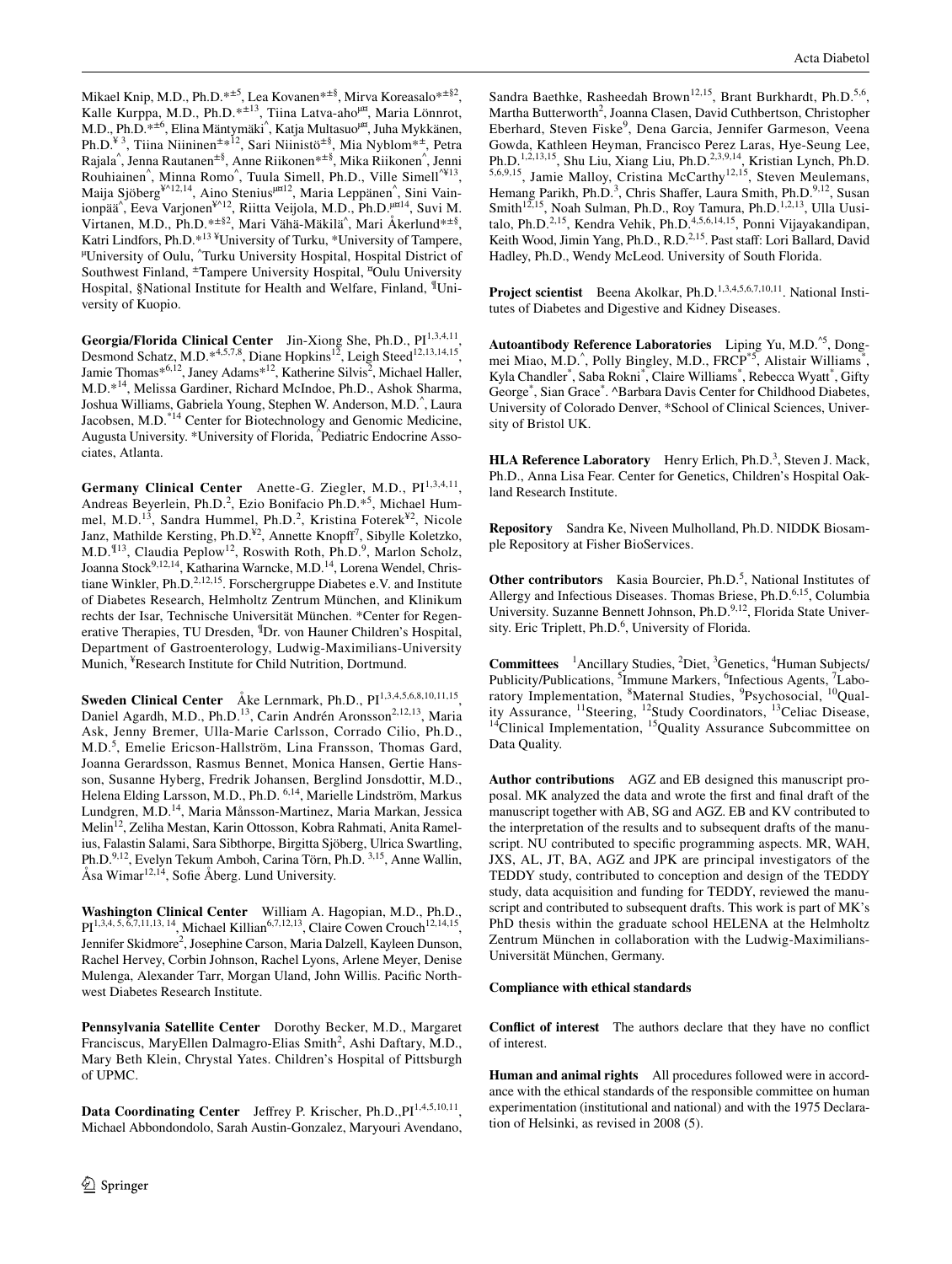Mikael Knip, M.D., Ph.D.\*±5, Lea Kovanen\*±§, Mirva Koreasalo\*±§2, Kalle Kurppa, M.D., Ph.D.\*<sup>±13</sup>, Tiina Latva-aho<sup>µ¤</sup>, Maria Lönnrot, M.D., Ph.D.\*<sup>±6</sup>, Elina Mäntymäki^, Katja Multasuo<sup>µ¤</sup>, Juha Mykkänen, Ph.D.<sup>¥3</sup>, Tiina Niininen<sup>±∗12</sup>, Sari Niinistö<sup>±§</sup>, Mia Nyblom<sup>∗±</sup>, Petra Rajala^ , Jenna Rautanen±§, Anne Riikonen\*±§, Mika Riikonen^ , Jenni Rouhiainen<sup>^</sup>, Minna Romo<sup>^</sup>, Tuula Simell, Ph.D., Ville Simell<sup>^¥13</sup>, Maija Sjöberg<sup>¥^12,14</sup>, Aino Stenius<sup>µ¤12</sup>, Maria Leppänen^, Sini Vainionpää<sup>^</sup>, Eeva Varjonen<sup>¥^12</sup>, Riitta Veijola, M.D., Ph.D.<sup>µ¤14</sup>, Suvi M. Virtanen, M.D., Ph.D.\*<sup>±§2</sup>, Mari Vähä-Mäkilä<sup>^</sup>, Mari Åkerlund<sup>\*±§</sup>, Katri Lindfors, Ph.D.\*<sup>13 ¥</sup>University of Turku, \*University of Tampere, Katri Lindfors, Ph.D.\*<sup>1.3</sup> \*University of Turku, \*University of Tampere,<br><sup>µ</sup>University of Oulu, ^Turku University Hospital, Hospital District of Southwest Finland, ±Tampere University Hospital, ¤ Oulu University Hospital, §National Institute for Health and Welfare, Finland, <sup>¶</sup>University of Kuopio.

Georgia/Florida Clinical Center Jin-Xiong She, Ph.D., PI<sup>1,3,4,11</sup>, Desmond Schatz, M.D.\*4,5,7,8, Diane Hopkins<sup>12</sup>, Leigh Steed<sup>12,13,14,15</sup>, Jamie Thomas\*<sup>6,12</sup>, Janey Adams\*<sup>12</sup>, Katherine Silvis<sup>2</sup>, Michael Haller, M.D.\*14, Melissa Gardiner, Richard McIndoe, Ph.D., Ashok Sharma, Joshua Williams, Gabriela Young, Stephen W. Anderson, M.D.^ , Laura Jacobsen, M.D.<sup>\*14</sup> Center for Biotechnology and Genomic Medicine, Augusta University. \*University of Florida, ^ Pediatric Endocrine Associates, Atlanta.

Germany Clinical Center Anette-G. Ziegler, M.D., PI<sup>1,3,4,11</sup>, Andreas Beyerlein, Ph.D.<sup>2</sup>, Ezio Bonifacio Ph.D.<sup>\*5</sup>, Michael Hummel, M.D.<sup>13</sup>, Sandra Hummel, Ph.D.<sup>2</sup>, Kristina Foterek<sup>¥2</sup>, Nicole Janz, Mathilde Kersting, Ph.D.<sup>¥2</sup>, Annette Knopff<sup>7</sup>, Sibylle Koletzko, M.D.<sup>¶13</sup>, Claudia Peplow<sup>12</sup>, Roswith Roth, Ph.D.<sup>9</sup>, Marlon Scholz, Joanna Stock<sup>9,12,14</sup>, Katharina Warncke, M.D.<sup>14</sup>, Lorena Wendel, Christiane Winkler, Ph.D.<sup>2,12,15</sup>. Forschergruppe Diabetes e.V. and Institute of Diabetes Research, Helmholtz Zentrum München, and Klinikum rechts der Isar, Technische Universität München. \*Center for Regenerative Therapies, TU Dresden, ¶Dr. von Hauner Children's Hospital, Department of Gastroenterology, Ludwig-Maximilians-University Munich, <sup>¥</sup>Research Institute for Child Nutrition, Dortmund.

**Sweden Clinical Center** Åke Lernmark, Ph.D., PI<sup>1,3,4,5,6,8,10,11,15</sup>, Daniel Agardh, M.D., Ph.D.<sup>13</sup>, Carin Andrén Aronsson<sup>2,12,13</sup>, Maria Ask, Jenny Bremer, Ulla-Marie Carlsson, Corrado Cilio, Ph.D., M.D.<sup>5</sup>, Emelie Ericson-Hallström, Lina Fransson, Thomas Gard, Joanna Gerardsson, Rasmus Bennet, Monica Hansen, Gertie Hansson, Susanne Hyberg, Fredrik Johansen, Berglind Jonsdottir, M.D., Helena Elding Larsson, M.D., Ph.D. 6,14, Marielle Lindström, Markus Lundgren, M.D.14, Maria Månsson-Martinez, Maria Markan, Jessica Melin12, Zeliha Mestan, Karin Ottosson, Kobra Rahmati, Anita Ramelius, Falastin Salami, Sara Sibthorpe, Birgitta Sjöberg, Ulrica Swartling, Ph.D.9,12, Evelyn Tekum Amboh, Carina Törn, Ph.D. 3,15, Anne Wallin, Åsa Wimar<sup>12,14</sup>, Sofie Åberg. Lund University.

**Washington Clinical Center** William A. Hagopian, M.D., Ph.D.,  $PI^{1,3,4, 5, 6,7,11,13, 14}$ , Michael Killian<sup>6,7,12,13</sup>, Claire Cowen Crouch<sup>12,14,15</sup>, Jennifer Skidmore<sup>2</sup>, Josephine Carson, Maria Dalzell, Kayleen Dunson, Rachel Hervey, Corbin Johnson, Rachel Lyons, Arlene Meyer, Denise Mulenga, Alexander Tarr, Morgan Uland, John Willis. Pacifc Northwest Diabetes Research Institute.

**Pennsylvania Satellite Center** Dorothy Becker, M.D., Margaret Franciscus, MaryEllen Dalmagro-Elias Smith<sup>2</sup>, Ashi Daftary, M.D., Mary Beth Klein, Chrystal Yates. Children's Hospital of Pittsburgh of UPMC.

Data Coordinating Center Jeffrey P. Krischer, Ph.D., PI<sup>1,4,5,10,11</sup>, Michael Abbondondolo, Sarah Austin-Gonzalez, Maryouri Avendano,

Sandra Baethke, Rasheedah Brown<sup>12,15</sup>, Brant Burkhardt, Ph.D.<sup>5,6</sup>, Martha Butterworth<sup>2</sup>, Joanna Clasen, David Cuthbertson, Christopher Eberhard, Steven Fiske<sup>9</sup>, Dena Garcia, Jennifer Garmeson, Veena Gowda, Kathleen Heyman, Francisco Perez Laras, Hye-Seung Lee, Ph.D.<sup>1,2,13,15</sup>, Shu Liu, Xiang Liu, Ph.D.<sup>2,3,9,14</sup>, Kristian Lynch, Ph.D. <sup>5,6,9,15</sup>, Jamie Malloy, Cristina McCarthy<sup>12,15</sup>, Steven Meulemans, Hemang Parikh, Ph.D.<sup>3</sup>, Chris Shaffer, Laura Smith, Ph.D.<sup>9,12</sup>, Susan Smith<sup>12,15</sup>, Noah Sulman, Ph.D., Roy Tamura, Ph.D.<sup>1,2,13</sup>, Ulla Uusitalo, Ph.D.<sup>2,15</sup>, Kendra Vehik, Ph.D.<sup>4,5,6,14,15</sup>, Ponni Vijayakandipan, Keith Wood, Jimin Yang, Ph.D., R.D.<sup>2,15</sup>. Past staff: Lori Ballard, David Hadley, Ph.D., Wendy McLeod. University of South Florida.

**Project scientist** Beena Akolkar, Ph.D.<sup>1,3,4,5,6,7,10,11</sup>. National Institutes of Diabetes and Digestive and Kidney Diseases.

**Autoantibody Reference Laboratories** Liping Yu, M.D.^5, Dongmei Miao, M.D.<sup>^</sup>, Polly Bingley, M.D., FRCP<sup>\*5</sup>, Alistair Williams<sup>\*</sup>, Kyla Chandler<sup>\*</sup>, Saba Rokni<sup>\*</sup>, Claire Williams<sup>\*</sup>, Rebecca Wyatt<sup>\*</sup>, Gifty George<sup>\*</sup>, Sian Grace<sup>\*</sup>. ^Barbara Davis Center for Childhood Diabetes, University of Colorado Denver, \*School of Clinical Sciences, University of Bristol UK.

**HLA Reference Laboratory** Henry Erlich, Ph.D.<sup>3</sup>, Steven J. Mack, Ph.D., Anna Lisa Fear. Center for Genetics, Children's Hospital Oakland Research Institute.

**Repository** Sandra Ke, Niveen Mulholland, Ph.D. NIDDK Biosample Repository at Fisher BioServices.

**Other contributors** Kasia Bourcier, Ph.D.<sup>5</sup>, National Institutes of Allergy and Infectious Diseases. Thomas Briese, Ph.D.<sup>6,15</sup>, Columbia University. Suzanne Bennett Johnson, Ph.D.<sup>9,12</sup>, Florida State University. Eric Triplett, Ph.D.<sup>6</sup>, University of Florida.

**Committees** <sup>1</sup> Ancillary Studies, <sup>2</sup>Diet, <sup>3</sup> Genetics, <sup>4</sup> Human Subjects/ Publicity/Publications, <sup>5</sup>Immune Markers, <sup>6</sup>Infectious Agents, <sup>7</sup>Laboratory Implementation, <sup>8</sup>Maternal Studies, <sup>9</sup>Psychosocial, <sup>10</sup>Quality Assurance, <sup>11</sup>Steering, <sup>12</sup>Study Coordinators, <sup>13</sup>Celiac Disease, <sup>14</sup>Clinical Implementation, <sup>15</sup>Quality Assurance Subcommittee on Data Quality.

**Author contributions** AGZ and EB designed this manuscript proposal. MK analyzed the data and wrote the frst and fnal draft of the manuscript together with AB, SG and AGZ. EB and KV contributed to the interpretation of the results and to subsequent drafts of the manuscript. NU contributed to specifc programming aspects. MR, WAH, JXS, AL, JT, BA, AGZ and JPK are principal investigators of the TEDDY study, contributed to conception and design of the TEDDY study, data acquisition and funding for TEDDY, reviewed the manuscript and contributed to subsequent drafts. This work is part of MK's PhD thesis within the graduate school HELENA at the Helmholtz Zentrum München in collaboration with the Ludwig-Maximilians-Universität München, Germany.

#### **Compliance with ethical standards**

**Confict of interest** The authors declare that they have no confict of interest.

**Human and animal rights** All procedures followed were in accordance with the ethical standards of the responsible committee on human experimentation (institutional and national) and with the 1975 Declaration of Helsinki, as revised in 2008 (5).